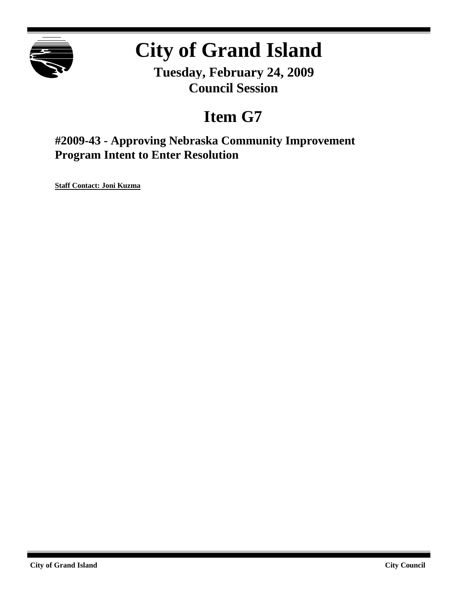

# **City of Grand Island**

**Tuesday, February 24, 2009 Council Session**

## **Item G7**

**#2009-43 - Approving Nebraska Community Improvement Program Intent to Enter Resolution**

**Staff Contact: Joni Kuzma**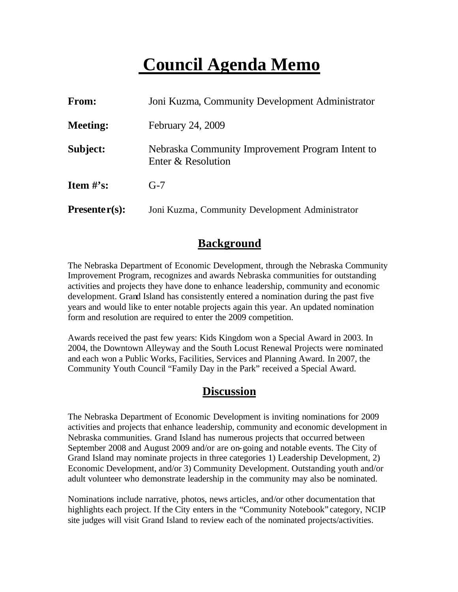### **Council Agenda Memo**

| <b>From:</b>    | Joni Kuzma, Community Development Administrator                        |
|-----------------|------------------------------------------------------------------------|
| <b>Meeting:</b> | February 24, 2009                                                      |
| Subject:        | Nebraska Community Improvement Program Intent to<br>Enter & Resolution |
| Item $\#$ 's:   | $G-7$                                                                  |
| $Presenter(s):$ | Joni Kuzma, Community Development Administrator                        |

#### **Background**

The Nebraska Department of Economic Development, through the Nebraska Community Improvement Program, recognizes and awards Nebraska communities for outstanding activities and projects they have done to enhance leadership, community and economic development. Grand Island has consistently entered a nomination during the past five years and would like to enter notable projects again this year. An updated nomination form and resolution are required to enter the 2009 competition.

Awards received the past few years: Kids Kingdom won a Special Award in 2003. In 2004, the Downtown Alleyway and the South Locust Renewal Projects were nominated and each won a Public Works, Facilities, Services and Planning Award. In 2007, the Community Youth Council "Family Day in the Park" received a Special Award.

### **Discussion**

The Nebraska Department of Economic Development is inviting nominations for 2009 activities and projects that enhance leadership, community and economic development in Nebraska communities. Grand Island has numerous projects that occurred between September 2008 and August 2009 and/or are on-going and notable events. The City of Grand Island may nominate projects in three categories 1) Leadership Development, 2) Economic Development, and/or 3) Community Development. Outstanding youth and/or adult volunteer who demonstrate leadership in the community may also be nominated.

Nominations include narrative, photos, news articles, and/or other documentation that highlights each project. If the City enters in the "Community Notebook" category, NCIP site judges will visit Grand Island to review each of the nominated projects/activities.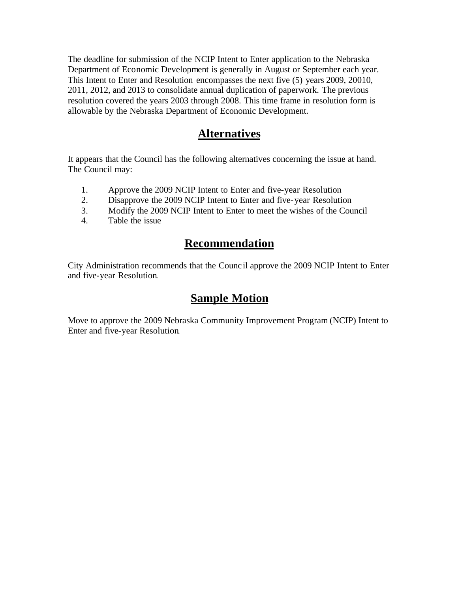The deadline for submission of the NCIP Intent to Enter application to the Nebraska Department of Economic Development is generally in August or September each year. This Intent to Enter and Resolution encompasses the next five (5) years 2009, 20010, 2011, 2012, and 2013 to consolidate annual duplication of paperwork. The previous resolution covered the years 2003 through 2008. This time frame in resolution form is allowable by the Nebraska Department of Economic Development.

#### **Alternatives**

It appears that the Council has the following alternatives concerning the issue at hand. The Council may:

- 1. Approve the 2009 NCIP Intent to Enter and five-year Resolution
- 2. Disapprove the 2009 NCIP Intent to Enter and five-year Resolution
- 3. Modify the 2009 NCIP Intent to Enter to meet the wishes of the Council
- 4. Table the issue

### **Recommendation**

City Administration recommends that the Counc il approve the 2009 NCIP Intent to Enter and five-year Resolution.

#### **Sample Motion**

Move to approve the 2009 Nebraska Community Improvement Program (NCIP) Intent to Enter and five-year Resolution.